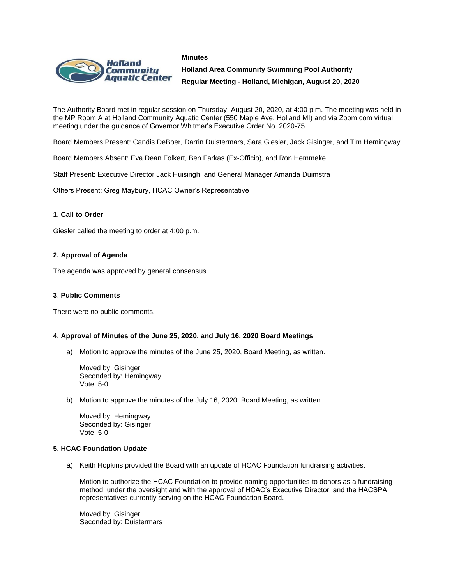#### **Minutes**



**Holland Area Community Swimming Pool Authority Regular Meeting - Holland, Michigan, August 20, 2020**

The Authority Board met in regular session on Thursday, August 20, 2020, at 4:00 p.m. The meeting was held in the MP Room A at Holland Community Aquatic Center (550 Maple Ave, Holland MI) and via Zoom.com virtual meeting under the guidance of Governor Whitmer's Executive Order No. 2020-75.

Board Members Present: Candis DeBoer, Darrin Duistermars, Sara Giesler, Jack Gisinger, and Tim Hemingway

Board Members Absent: Eva Dean Folkert, Ben Farkas (Ex-Officio), and Ron Hemmeke

Staff Present: Executive Director Jack Huisingh, and General Manager Amanda Duimstra

Others Present: Greg Maybury, HCAC Owner's Representative

# **1. Call to Order**

Giesler called the meeting to order at 4:00 p.m.

# **2. Approval of Agenda**

The agenda was approved by general consensus.

## **3**. **Public Comments**

There were no public comments.

## **4. Approval of Minutes of the June 25, 2020, and July 16, 2020 Board Meetings**

a) Motion to approve the minutes of the June 25, 2020, Board Meeting, as written.

Moved by: Gisinger Seconded by: Hemingway Vote: 5-0

b) Motion to approve the minutes of the July 16, 2020, Board Meeting, as written.

Moved by: Hemingway Seconded by: Gisinger Vote: 5-0

## **5. HCAC Foundation Update**

a) Keith Hopkins provided the Board with an update of HCAC Foundation fundraising activities.

Motion to authorize the HCAC Foundation to provide naming opportunities to donors as a fundraising method, under the oversight and with the approval of HCAC's Executive Director, and the HACSPA representatives currently serving on the HCAC Foundation Board.

Moved by: Gisinger Seconded by: Duistermars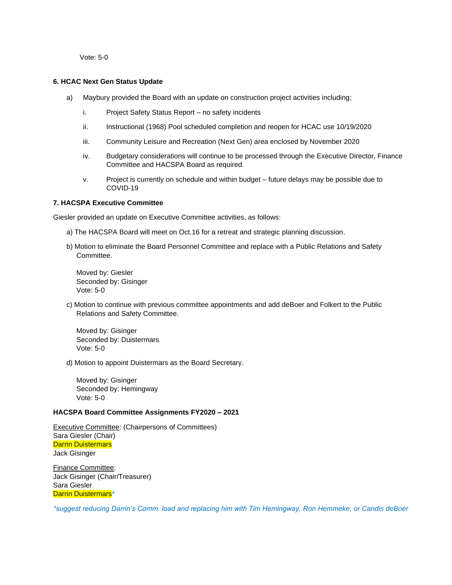Vote: 5-0

## **6. HCAC Next Gen Status Update**

- a) Maybury provided the Board with an update on construction project activities including;
	- i. Project Safety Status Report no safety incidents
	- ii. Instructional (1968) Pool scheduled completion and reopen for HCAC use 10/19/2020
	- iii. Community Leisure and Recreation (Next Gen) area enclosed by November 2020
	- iv. Budgetary considerations will continue to be processed through the Executive Director, Finance Committee and HACSPA Board as required.
	- v. Project is currently on schedule and within budget future delays may be possible due to COVID-19

#### **7. HACSPA Executive Committee**

Giesler provided an update on Executive Committee activities, as follows:

- a) The HACSPA Board will meet on Oct.16 for a retreat and strategic planning discussion.
- b) Motion to eliminate the Board Personnel Committee and replace with a Public Relations and Safety Committee.

Moved by: Giesler Seconded by: Gisinger Vote: 5-0

c) Motion to continue with previous committee appointments and add deBoer and Folkert to the Public Relations and Safety Committee.

Moved by: Gisinger Seconded by: Duistermars Vote: 5-0

d) Motion to appoint Duistermars as the Board Secretary.

Moved by: Gisinger Seconded by: Hemingway Vote: 5-0

# **HACSPA Board Committee Assignments FY2020 – 2021**

Executive Committee: (Chairpersons of Committees) Sara Giesler (Chair) Darrin Duistermars Jack Gisinger

Finance Committee: Jack Gisinger (Chair/Treasurer) Sara Giesler Darrin Duistermars\*

*\*suggest reducing Darrin's Comm. load and replacing him with Tim Hemingway, Ron Hemmeke, or Candis deBoer*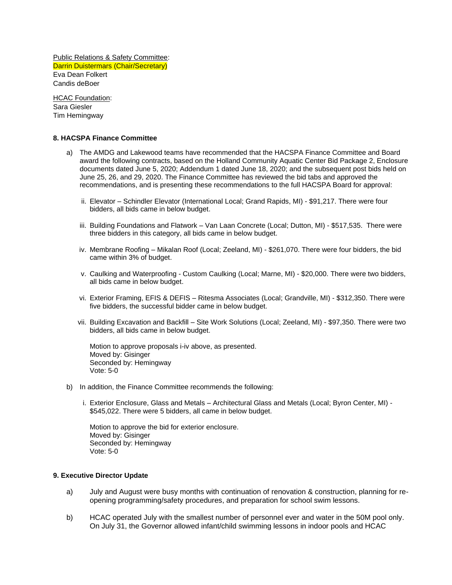Public Relations & Safety Committee: Darrin Duistermars (Chair/Secretary) Eva Dean Folkert Candis deBoer

**HCAC Foundation:** Sara Giesler Tim Hemingway

# **8. HACSPA Finance Committee**

- a) The AMDG and Lakewood teams have recommended that the HACSPA Finance Committee and Board award the following contracts, based on the Holland Community Aquatic Center Bid Package 2, Enclosure documents dated June 5, 2020; Addendum 1 dated June 18, 2020; and the subsequent post bids held on June 25, 26, and 29, 2020. The Finance Committee has reviewed the bid tabs and approved the recommendations, and is presenting these recommendations to the full HACSPA Board for approval:
	- ii. Elevator Schindler Elevator (International Local; Grand Rapids, MI) \$91,217. There were four bidders, all bids came in below budget.
	- iii. Building Foundations and Flatwork Van Laan Concrete (Local; Dutton, MI) \$517,535. There were three bidders in this category, all bids came in below budget.
	- iv. Membrane Roofing Mikalan Roof (Local; Zeeland, MI) \$261,070. There were four bidders, the bid came within 3% of budget.
	- v. Caulking and Waterproofing Custom Caulking (Local; Marne, MI) \$20,000. There were two bidders, all bids came in below budget.
	- vi. Exterior Framing, EFIS & DEFIS Ritesma Associates (Local; Grandville, MI) \$312,350. There were five bidders, the successful bidder came in below budget.
	- vii. Building Excavation and Backfill Site Work Solutions (Local; Zeeland, MI) \$97,350. There were two bidders, all bids came in below budget.

Motion to approve proposals i-iv above, as presented. Moved by: Gisinger Seconded by: Hemingway Vote: 5-0

- b) In addition, the Finance Committee recommends the following:
	- i. Exterior Enclosure, Glass and Metals Architectural Glass and Metals (Local; Byron Center, MI) \$545,022. There were 5 bidders, all came in below budget.

Motion to approve the bid for exterior enclosure. Moved by: Gisinger Seconded by: Hemingway Vote: 5-0

## **9. Executive Director Update**

- a) July and August were busy months with continuation of renovation & construction, planning for reopening programming/safety procedures, and preparation for school swim lessons.
- b) HCAC operated July with the smallest number of personnel ever and water in the 50M pool only. On July 31, the Governor allowed infant/child swimming lessons in indoor pools and HCAC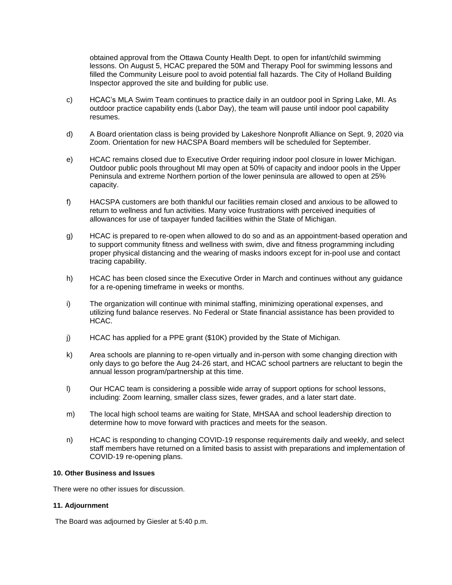obtained approval from the Ottawa County Health Dept. to open for infant/child swimming lessons. On August 5, HCAC prepared the 50M and Therapy Pool for swimming lessons and filled the Community Leisure pool to avoid potential fall hazards. The City of Holland Building Inspector approved the site and building for public use.

- c) HCAC's MLA Swim Team continues to practice daily in an outdoor pool in Spring Lake, MI. As outdoor practice capability ends (Labor Day), the team will pause until indoor pool capability resumes.
- d) A Board orientation class is being provided by Lakeshore Nonprofit Alliance on Sept. 9, 2020 via Zoom. Orientation for new HACSPA Board members will be scheduled for September.
- e) HCAC remains closed due to Executive Order requiring indoor pool closure in lower Michigan. Outdoor public pools throughout MI may open at 50% of capacity and indoor pools in the Upper Peninsula and extreme Northern portion of the lower peninsula are allowed to open at 25% capacity.
- f) HACSPA customers are both thankful our facilities remain closed and anxious to be allowed to return to wellness and fun activities. Many voice frustrations with perceived inequities of allowances for use of taxpayer funded facilities within the State of Michigan.
- g) HCAC is prepared to re-open when allowed to do so and as an appointment-based operation and to support community fitness and wellness with swim, dive and fitness programming including proper physical distancing and the wearing of masks indoors except for in-pool use and contact tracing capability.
- h) HCAC has been closed since the Executive Order in March and continues without any guidance for a re-opening timeframe in weeks or months.
- i) The organization will continue with minimal staffing, minimizing operational expenses, and utilizing fund balance reserves. No Federal or State financial assistance has been provided to HCAC.
- j) HCAC has applied for a PPE grant (\$10K) provided by the State of Michigan.
- k) Area schools are planning to re-open virtually and in-person with some changing direction with only days to go before the Aug 24-26 start, and HCAC school partners are reluctant to begin the annual lesson program/partnership at this time.
- l) Our HCAC team is considering a possible wide array of support options for school lessons, including: Zoom learning, smaller class sizes, fewer grades, and a later start date.
- m) The local high school teams are waiting for State, MHSAA and school leadership direction to determine how to move forward with practices and meets for the season.
- n) HCAC is responding to changing COVID-19 response requirements daily and weekly, and select staff members have returned on a limited basis to assist with preparations and implementation of COVID-19 re-opening plans.

## **10. Other Business and Issues**

There were no other issues for discussion.

## **11. Adjournment**

The Board was adjourned by Giesler at 5:40 p.m.